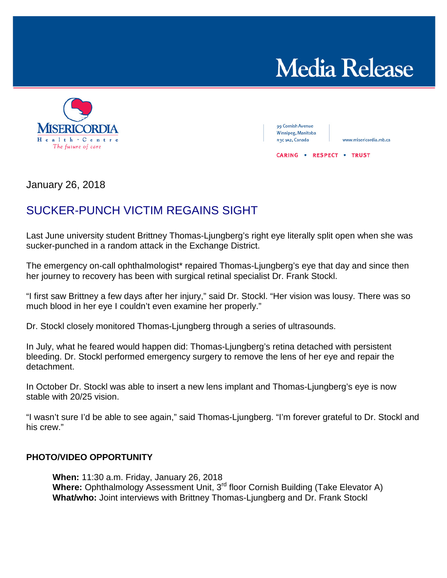## **Media Release**



99 Cornish Avenue Winnipeg, Manitoba R3C 1A2, Canada

www.misericordia.mb.ca

**CARING . RESPECT . TRUST** 

January 26, 2018

## SUCKER-PUNCH VICTIM REGAINS SIGHT

Last June university student Brittney Thomas-Ljungberg's right eye literally split open when she was sucker-punched in a random attack in the Exchange District.

The emergency on-call ophthalmologist\* repaired Thomas-Ljungberg's eye that day and since then her journey to recovery has been with surgical retinal specialist Dr. Frank Stockl.

"I first saw Brittney a few days after her injury," said Dr. Stockl. "Her vision was lousy. There was so much blood in her eye I couldn't even examine her properly."

Dr. Stockl closely monitored Thomas-Ljungberg through a series of ultrasounds.

In July, what he feared would happen did: Thomas-Ljungberg's retina detached with persistent bleeding. Dr. Stockl performed emergency surgery to remove the lens of her eye and repair the detachment.

In October Dr. Stockl was able to insert a new lens implant and Thomas-Ljungberg's eye is now stable with 20/25 vision.

"I wasn't sure I'd be able to see again," said Thomas-Ljungberg. "I'm forever grateful to Dr. Stockl and his crew."

## **PHOTO/VIDEO OPPORTUNITY**

**When:** 11:30 a.m. Friday, January 26, 2018 **Where:** Ophthalmology Assessment Unit, 3<sup>rd</sup> floor Cornish Building (Take Elevator A) **What/who:** Joint interviews with Brittney Thomas-Ljungberg and Dr. Frank Stockl